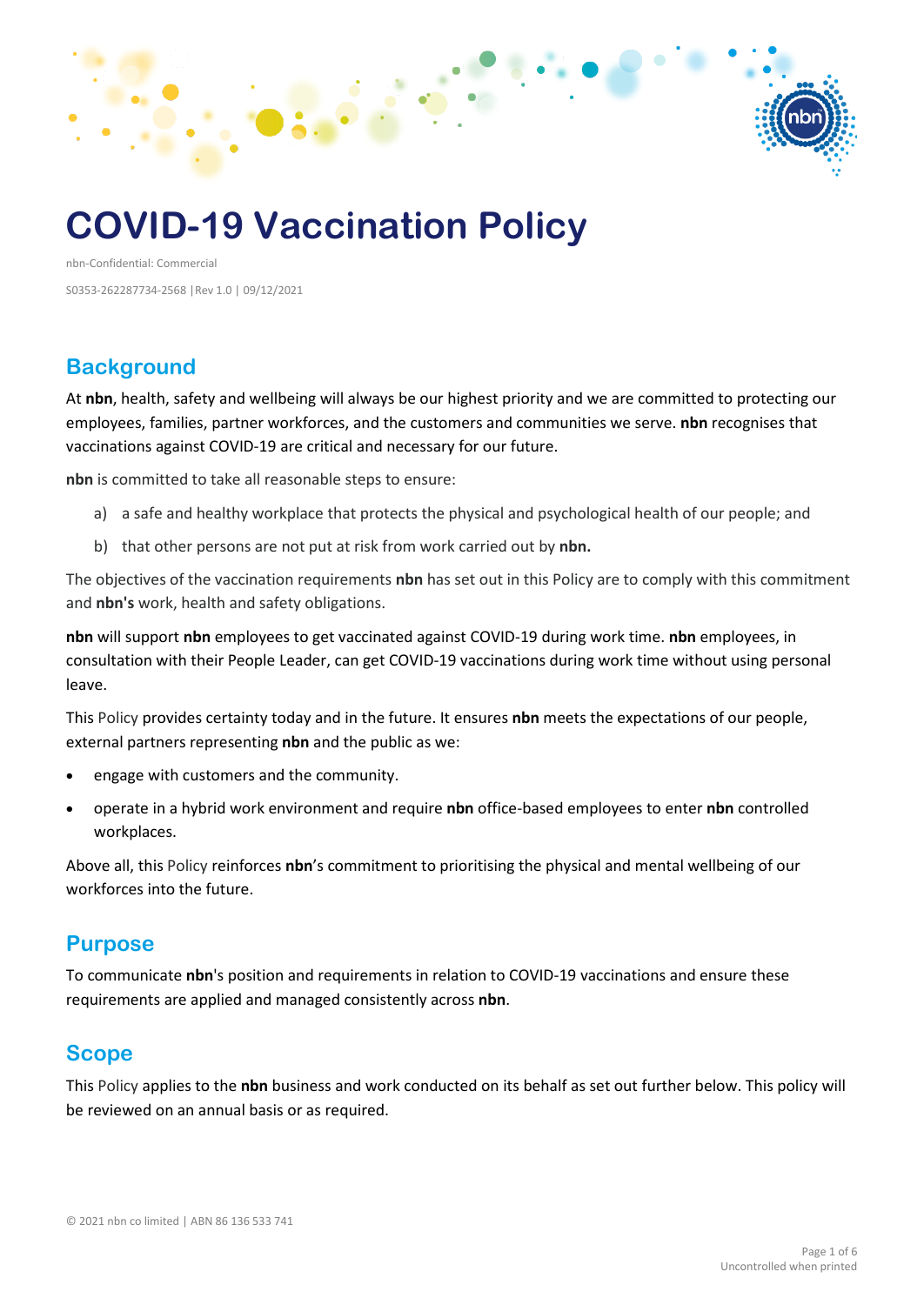

# **COVID-19 Vaccination Policy**

nbn-Confidential: Commercial S0353-262287734-2568 |Rev 1.0 | 09/12/2021

#### **Background**

At **nbn**, health, safety and wellbeing will always be our highest priority and we are committed to protecting our employees, families, partner workforces, and the customers and communities we serve. **nbn** recognises that vaccinations against COVID-19 are critical and necessary for our future.

**nbn** is committed to take all reasonable steps to ensure:

- a) a safe and healthy workplace that protects the physical and psychological health of our people; and
- b) that other persons are not put at risk from work carried out by **nbn.**

The objectives of the vaccination requirements **nbn** has set out in this Policy are to comply with this commitment and **nbn's** work, health and safety obligations.

**nbn** will support **nbn** employees to get vaccinated against COVID-19 during work time. **nbn** employees, in consultation with their People Leader, can get COVID-19 vaccinations during work time without using personal leave.

This Policy provides certainty today and in the future. It ensures **nbn** meets the expectations of our people, external partners representing **nbn** and the public as we:

- engage with customers and the community.
- operate in a hybrid work environment and require **nbn** office-based employees to enter **nbn** controlled workplaces.

Above all, this Policy reinforces **nbn**'s commitment to prioritising the physical and mental wellbeing of our workforces into the future.

#### **Purpose**

To communicate **nbn**'s position and requirements in relation to COVID-19 vaccinations and ensure these requirements are applied and managed consistently across **nbn**.

#### **Scope**

This Policy applies to the **nbn** business and work conducted on its behalf as set out further below. This policy will be reviewed on an annual basis or as required.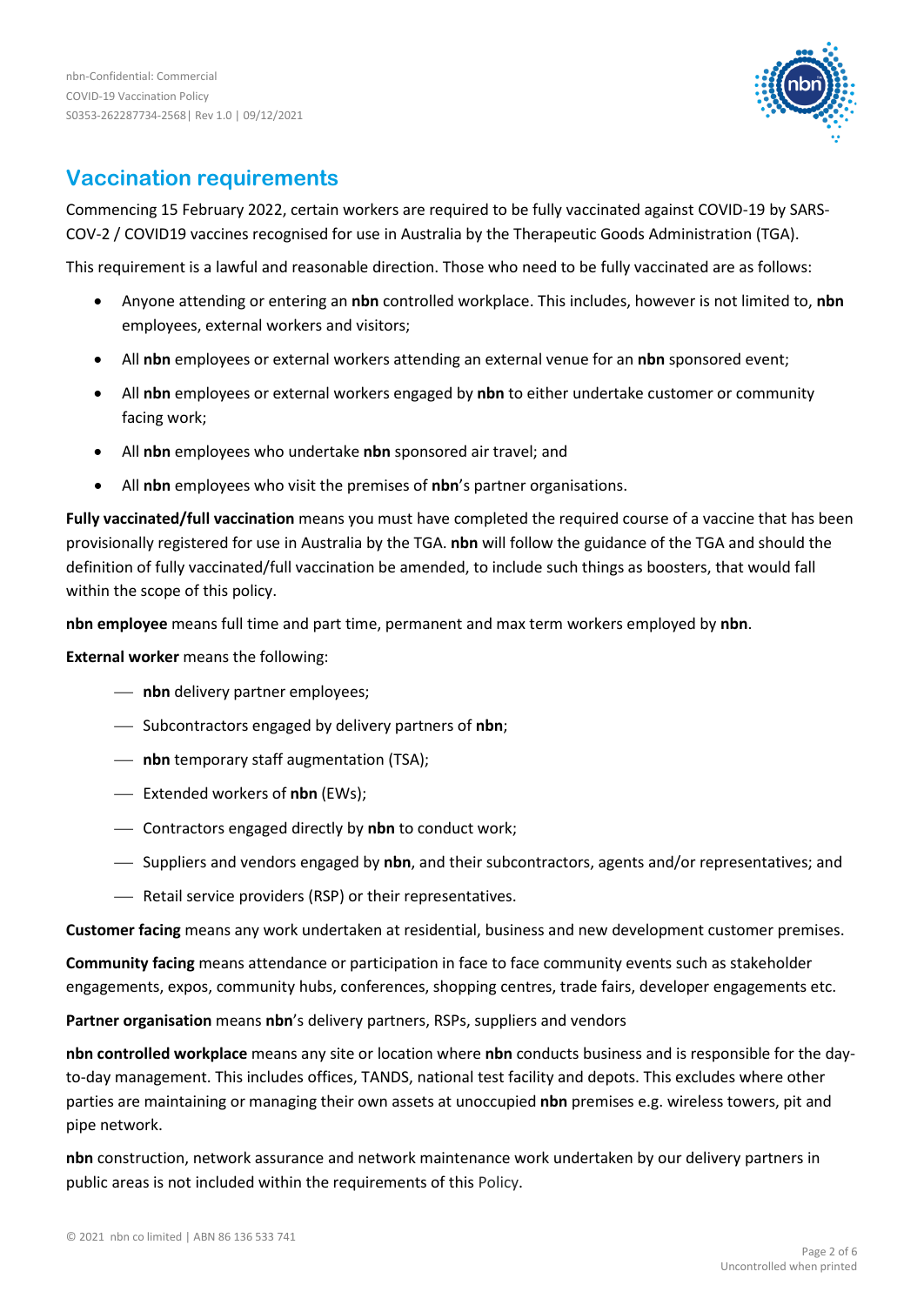

## **Vaccination requirements**

Commencing 15 February 2022, certain workers are required to be fully vaccinated against COVID-19 by SARS-COV-2 / COVID19 vaccines recognised for use in Australia by the Therapeutic Goods Administration (TGA).

This requirement is a lawful and reasonable direction. Those who need to be fully vaccinated are as follows:

- Anyone attending or entering an **nbn** controlled workplace. This includes, however is not limited to, **nbn** employees, external workers and visitors;
- All **nbn** employees or external workers attending an external venue for an **nbn** sponsored event;
- All **nbn** employees or external workers engaged by **nbn** to either undertake customer or community facing work;
- All **nbn** employees who undertake **nbn** sponsored air travel; and
- All **nbn** employees who visit the premises of **nbn**'s partner organisations.

**Fully vaccinated/full vaccination** means you must have completed the required course of a vaccine that has been provisionally registered for use in Australia by the TGA. **nbn** will follow the guidance of the TGA and should the definition of fully vaccinated/full vaccination be amended, to include such things as boosters, that would fall within the scope of this policy.

**nbn employee** means full time and part time, permanent and max term workers employed by **nbn**.

**External worker** means the following:

- **nbn** delivery partner employees;
- Subcontractors engaged by delivery partners of **nbn**;
- **nbn** temporary staff augmentation (TSA);
- Extended workers of **nbn** (EWs);
- Contractors engaged directly by **nbn** to conduct work;
- Suppliers and vendors engaged by **nbn**, and their subcontractors, agents and/or representatives; and
- Retail service providers (RSP) or their representatives.

**Customer facing** means any work undertaken at residential, business and new development customer premises.

**Community facing** means attendance or participation in face to face community events such as stakeholder engagements, expos, community hubs, conferences, shopping centres, trade fairs, developer engagements etc.

**Partner organisation** means **nbn**'s delivery partners, RSPs, suppliers and vendors

**nbn controlled workplace** means any site or location where **nbn** conducts business and is responsible for the dayto-day management. This includes offices, TANDS, national test facility and depots. This excludes where other parties are maintaining or managing their own assets at unoccupied **nbn** premises e.g. wireless towers, pit and pipe network.

**nbn** construction, network assurance and network maintenance work undertaken by our delivery partners in public areas is not included within the requirements of this Policy.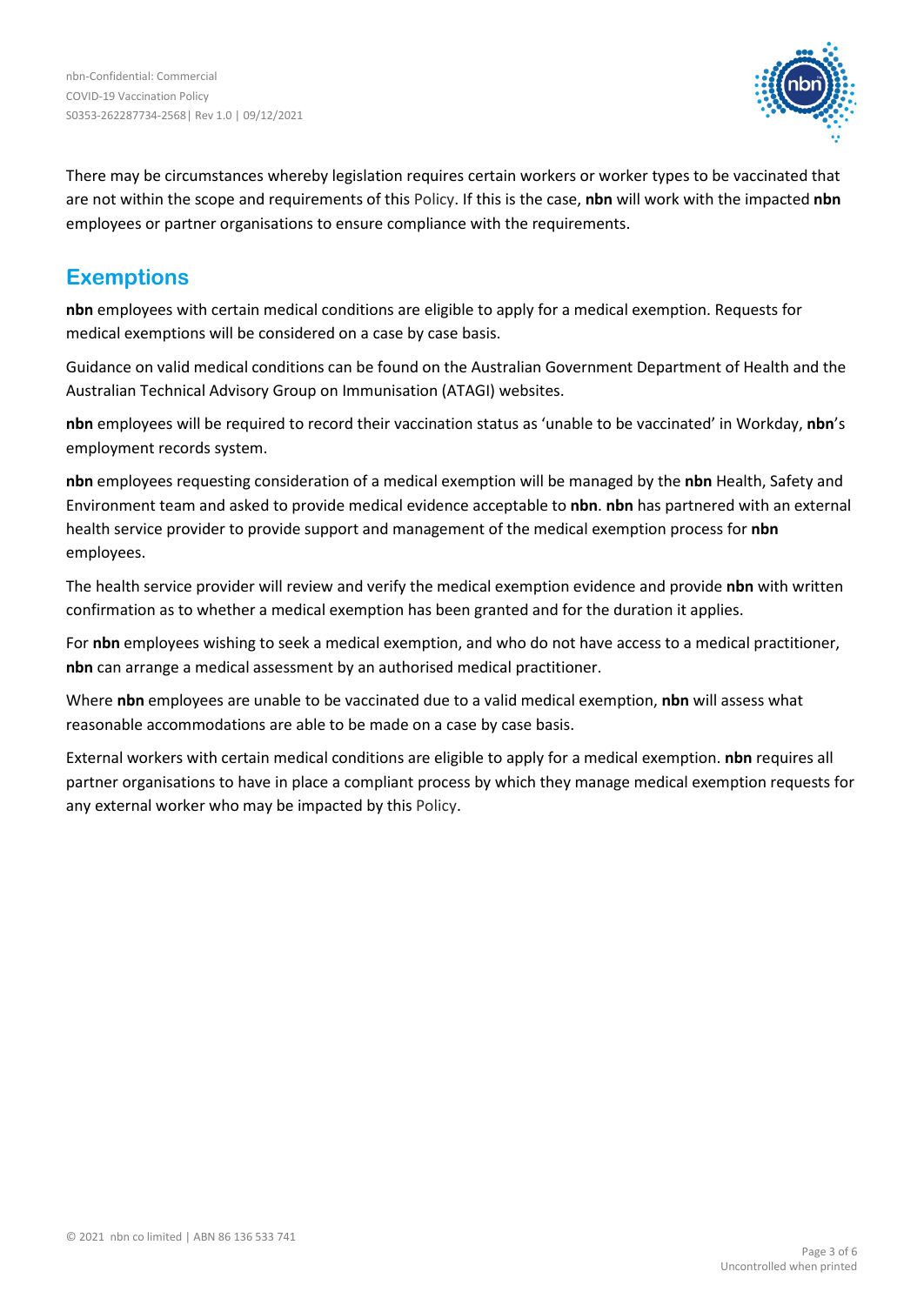

There may be circumstances whereby legislation requires certain workers or worker types to be vaccinated that are not within the scope and requirements of this Policy. If this is the case, **nbn** will work with the impacted **nbn** employees or partner organisations to ensure compliance with the requirements.

## **Exemptions**

**nbn** employees with certain medical conditions are eligible to apply for a medical exemption. Requests for medical exemptions will be considered on a case by case basis.

Guidance on valid medical conditions can be found on the Australian Government Department of Health and the Australian Technical Advisory Group on Immunisation (ATAGI) websites.

**nbn** employees will be required to record their vaccination status as 'unable to be vaccinated' in Workday, **nbn**'s employment records system.

**nbn** employees requesting consideration of a medical exemption will be managed by the **nbn** Health, Safety and Environment team and asked to provide medical evidence acceptable to **nbn**. **nbn** has partnered with an external health service provider to provide support and management of the medical exemption process for **nbn** employees.

The health service provider will review and verify the medical exemption evidence and provide **nbn** with written confirmation as to whether a medical exemption has been granted and for the duration it applies.

For **nbn** employees wishing to seek a medical exemption, and who do not have access to a medical practitioner, **nbn** can arrange a medical assessment by an authorised medical practitioner.

Where **nbn** employees are unable to be vaccinated due to a valid medical exemption, **nbn** will assess what reasonable accommodations are able to be made on a case by case basis.

External workers with certain medical conditions are eligible to apply for a medical exemption. **nbn** requires all partner organisations to have in place a compliant process by which they manage medical exemption requests for any external worker who may be impacted by this Policy.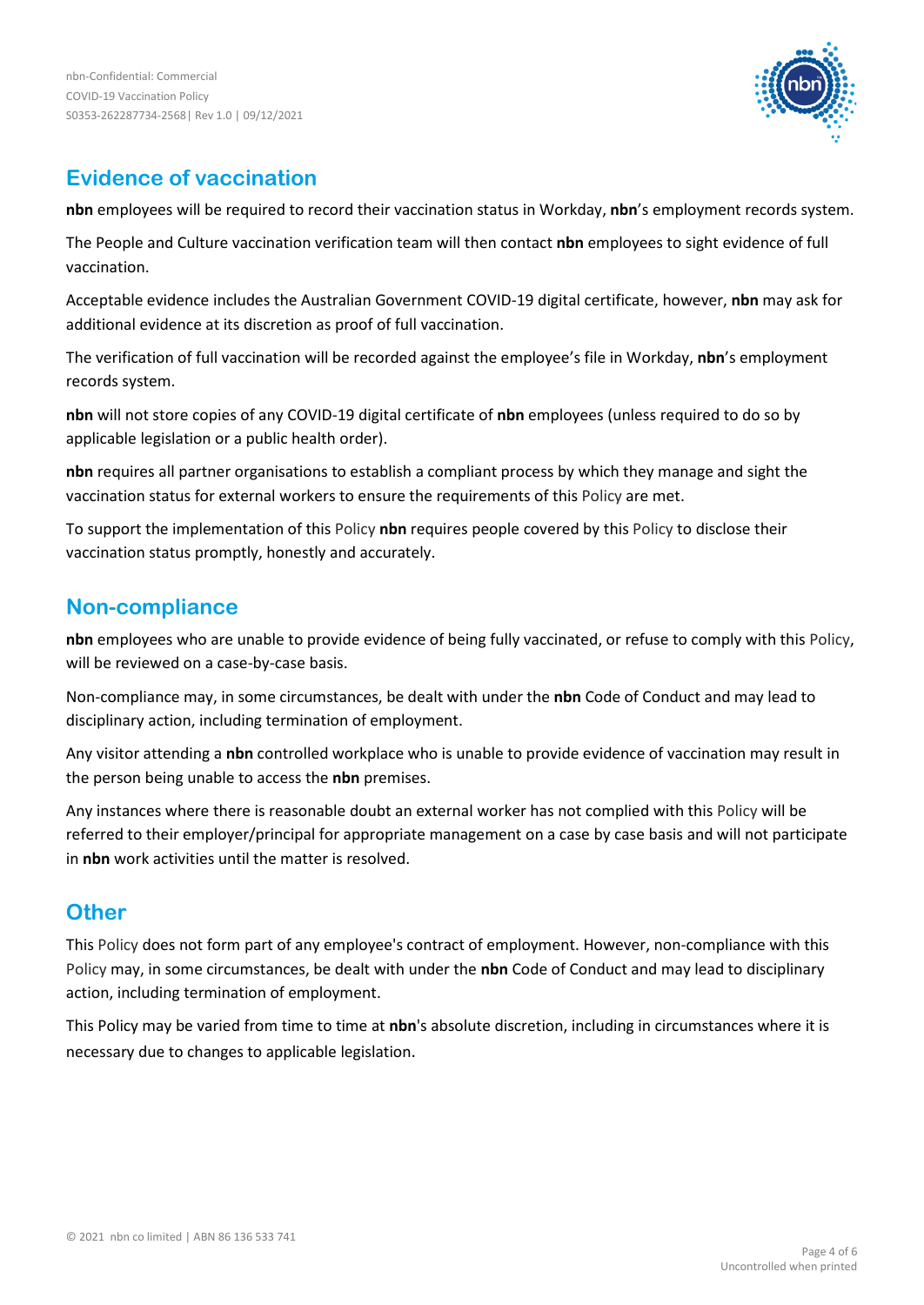

## **Evidence of vaccination**

**nbn** employees will be required to record their vaccination status in Workday, **nbn**'s employment records system.

The People and Culture vaccination verification team will then contact **nbn** employees to sight evidence of full vaccination.

Acceptable evidence includes the Australian Government COVID-19 digital certificate, however, **nbn** may ask for additional evidence at its discretion as proof of full vaccination.

The verification of full vaccination will be recorded against the employee's file in Workday, **nbn**'s employment records system.

**nbn** will not store copies of any COVID-19 digital certificate of **nbn** employees (unless required to do so by applicable legislation or a public health order).

**nbn** requires all partner organisations to establish a compliant process by which they manage and sight the vaccination status for external workers to ensure the requirements of this Policy are met.

To support the implementation of this Policy **nbn** requires people covered by this Policy to disclose their vaccination status promptly, honestly and accurately.

## **Non-compliance**

**nbn** employees who are unable to provide evidence of being fully vaccinated, or refuse to comply with this Policy, will be reviewed on a case-by-case basis.

Non-compliance may, in some circumstances, be dealt with under the **nbn** Code of Conduct and may lead to disciplinary action, including termination of employment.

Any visitor attending a **nbn** controlled workplace who is unable to provide evidence of vaccination may result in the person being unable to access the **nbn** premises.

Any instances where there is reasonable doubt an external worker has not complied with this Policy will be referred to their employer/principal for appropriate management on a case by case basis and will not participate in **nbn** work activities until the matter is resolved.

## **Other**

This Policy does not form part of any employee's contract of employment. However, non-compliance with this Policy may, in some circumstances, be dealt with under the **nbn** Code of Conduct and may lead to disciplinary action, including termination of employment.

This Policy may be varied from time to time at **nbn**'s absolute discretion, including in circumstances where it is necessary due to changes to applicable legislation.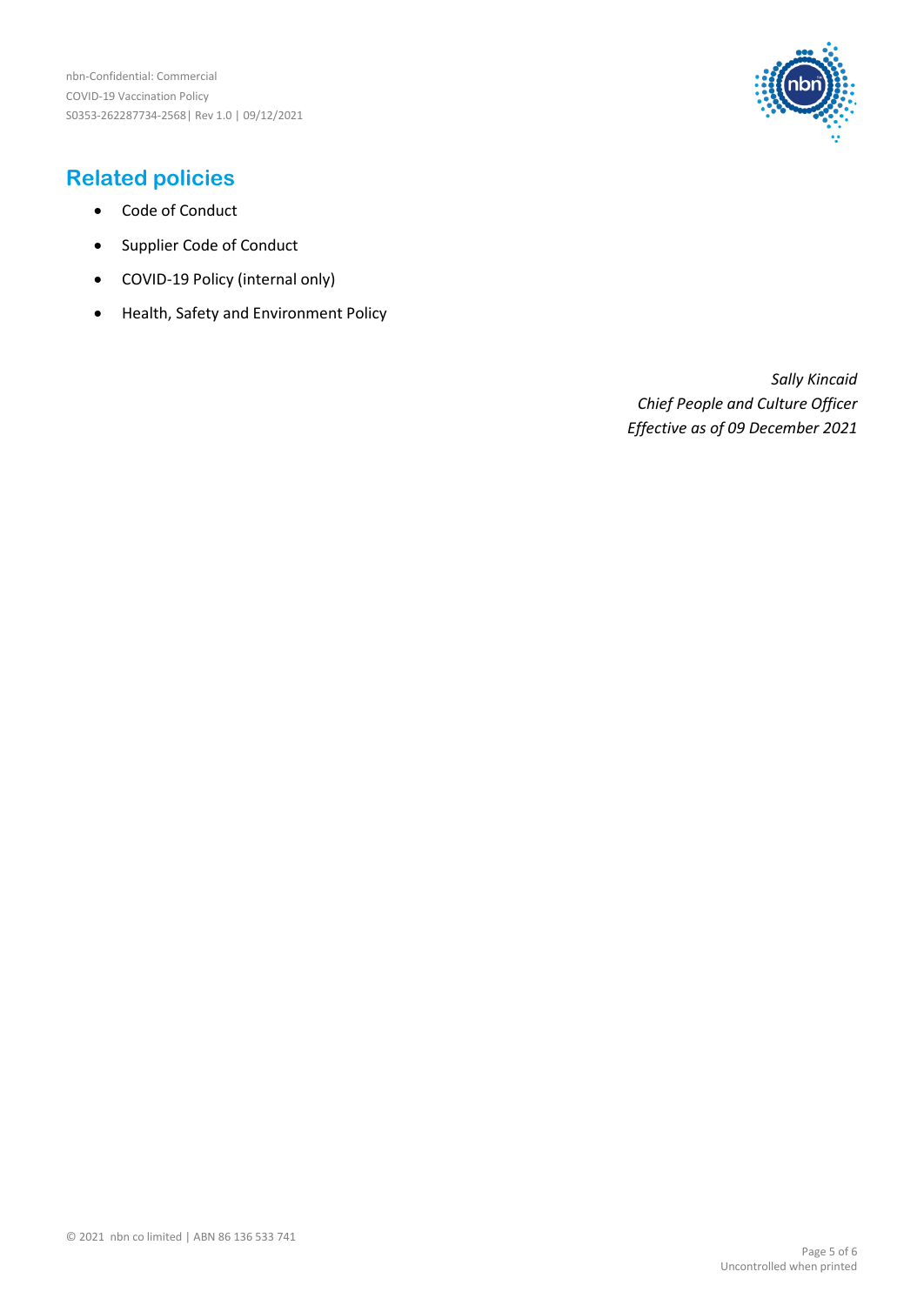

## **Related policies**

- Code of Conduct
- Supplier Code of Conduct
- COVID-19 Policy (internal only)
- Health, Safety and Environment Policy

*Sally Kincaid Chief People and Culture Officer Effective as of 09 December 2021*